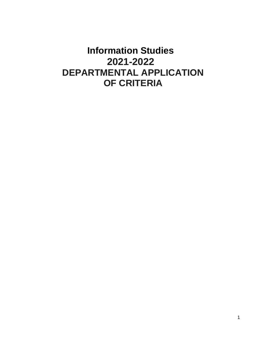# **Information Studies 2021-2022 DEPARTMENTAL APPLICATION OF CRITERIA**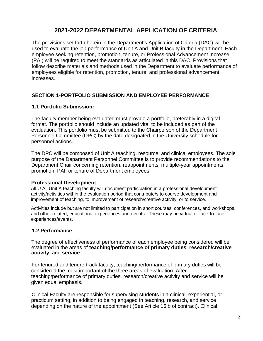# **2021-2022 DEPARTMENTAL APPLICATION OF CRITERIA**

The provisions set forth herein in the Department's Application of Criteria (DAC) will be used to evaluate the job performance of Unit A and Unit B faculty in the Department. Each employee seeking retention, promotion, tenure, or Professional Advancement Increase (PAI) will be required to meet the standards as articulated in this DAC. Provisions that follow describe materials and methods used in the Department to evaluate performance of employees eligible for retention, promotion, tenure, and professional advancement increases.

# **SECTION 1-PORTFOLIO SUBMISSION AND EMPLOYEE PERFORMANCE**

#### **1.1 Portfolio Submission:**

The faculty member being evaluated must provide a portfolio, preferably in a digital format. The portfolio should include an updated vita, to be included as part of the evaluation. This portfolio must be submitted to the Chairperson of the Department Personnel Committee (DPC) by the date designated in the University schedule for personnel actions.

The DPC will be composed of Unit A teaching, resource, and clinical employees. The sole purpose of the Department Personnel Committee is to provide recommendations to the Department Chair concerning retention, reappointments, multiple-year appointments, promotion, PAI, or tenure of Department employees.

#### **Professional Development**

All U All Unit A teaching faculty will document participation in a professional development activity/activities within the evaluation period that contribute/s to course development and improvement of teaching, to improvement of research/creative activity, or to service.

Activities include but are not limited to participation in short courses, conferences, and workshops, and other related, educational experiences and events. These may be virtual or face-to-face experiences/events.

## **1.2 Performance**

The degree of effectiveness of performance of each employee being considered will be evaluated in the areas of **teaching/performance of primary duties**, **research/creative activity**, and **service**.

For tenured and tenure-track faculty, teaching/performance of primary duties will be considered the most important of the three areas of evaluation. After teaching/performance of primary duties, research/creative activity and service will be given equal emphasis.

Clinical Faculty are responsible for supervising students in a clinical, experiential, or practicum setting, in addition to being engaged in teaching, research, and service depending on the nature of the appointment (See Article 16.b of contract). Clinical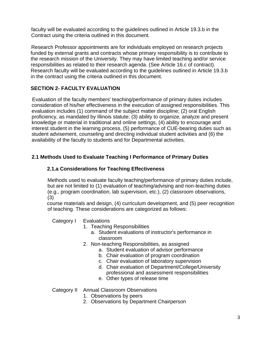faculty will be evaluated according to the guidelines outlined in Article 19.3.b in the Contract using the criteria outlined in this document.

Research Professor appointments are for individuals employed on research projects funded by external grants and contracts whose primary responsibility is to contribute to the research mission of the University. They may have limited teaching and/or service responsibilities as related to their research agenda. (See Article 16.c of contract). Research faculty will be evaluated according to the guidelines outlined in Article 19.3.b in the contract using the criteria outlined in this document.

# **SECTION 2- FACULTY EVALUATION**

Evaluation of the faculty members' teaching/performance of primary duties includes consideration of his/her effectiveness in the execution of assigned responsibilities. This evaluation includes (1) command of the subject matter discipline; (2) oral English proficiency, as mandated by Illinois statute; (3) ability to organize, analyze and present knowledge or material in traditional and online settings, (4) ability to encourage and interest student in the learning process, (5) performance of CUE-bearing duties such as student advisement, counseling and directing individual student activities and (6) the availability of the faculty to students and for Departmental activities.

# **2.1 Methods Used to Evaluate Teaching I Performance of Primary Duties**

# **2.1.a Considerations for Teaching Effectiveness**

Methods used to evaluate faculty teaching/performance of primary duties include, but are not limited to (1) evaluation of teaching/advising and non-teaching duties (e.g., program coordination, lab supervision, etc.), (2) classroom observations, (3)

course materials and design, (4) curriculum development, and (5) peer recognition of teaching. These considerations are categorized as follows:

Category I Evaluations

- 1. Teaching Responsibilities
	- a. Student evaluations of instructor's performance in classroom
- 2. Non-teaching Responsibilities, as assigned
	- a. Student evaluation of advisor performance
	- b. Chair evaluation of program coordination
	- c. Chair evaluation of laboratory supervision
	- d. Chair evaluation of Department/College/University professional and assessment responsibilities
	- e. Other types of release time
- Category II Annual Classroom Observations
	- 1. Observations by peers
	- 2. Observations by Department Chairperson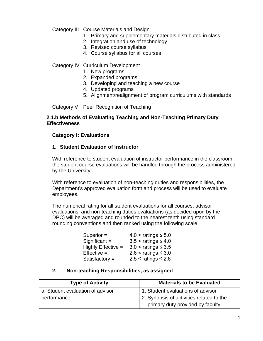Category III Course Materials and Design

- 1. Primary and supplementary materials distributed in class
- 2. Integration and use of technology
- 3. Revised course syllabus
- 4. Course syllabus for all courses

Category IV Curriculum Development

- 1. New programs
- 2. Expanded programs
- 3. Developing and teaching a new course
- 4. Updated programs
- 5. Alignment/realignment of program curriculums with standards

Category V Peer Recognition of Teaching

#### **2.1.b Methods of Evaluating Teaching and Non-Teaching Primary Duty Effectiveness**

#### **Category I: Evaluations**

#### **1. Student Evaluation of Instructor**

With reference to student evaluation of instructor performance in the classroom, the student course evaluations will be handled through the process administered by the University.

With reference to evaluation of non-teaching duties and responsibilities, the Department's approved evaluation form and process will be used to evaluate employees.

The numerical rating for all student evaluations for all courses, advisor evaluations, and non-teaching duties evaluations (as decided upon by the DPC) will be averaged and rounded to the nearest tenth using standard rounding conventions and then ranked using the following scale:

| $4.0 <$ ratings $\leq 5.0$ |
|----------------------------|
| $3.5 <$ ratings $\leq 4.0$ |
| $3.0 <$ ratings $\leq 3.5$ |
| $2.6 <$ ratings $\leq 3.0$ |
| $2.5$ ≤ ratings ≤ 2.6      |
|                            |

#### **2. Non-teaching Responsibilities, as assigned**

| <b>Type of Activity</b>          | <b>Materials to be Evaluated</b>         |
|----------------------------------|------------------------------------------|
| a. Student evaluation of advisor | 1. Student evaluations of advisor        |
| performance                      | 2. Synopsis of activities related to the |
|                                  | primary duty provided by faculty         |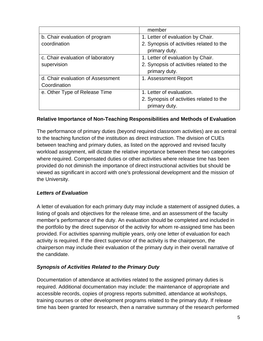|                                   | member                                   |
|-----------------------------------|------------------------------------------|
| b. Chair evaluation of program    | 1. Letter of evaluation by Chair.        |
| coordination                      | 2. Synopsis of activities related to the |
|                                   | primary duty.                            |
| c. Chair evaluation of laboratory | 1. Letter of evaluation by Chair.        |
| supervision                       | 2. Synopsis of activities related to the |
|                                   | primary duty.                            |
| d. Chair evaluation of Assessment | 1. Assessment Report                     |
| Coordination                      |                                          |
| e. Other Type of Release Time     | 1. Letter of evaluation.                 |
|                                   | 2. Synopsis of activities related to the |
|                                   | primary duty.                            |

# **Relative Importance of Non-Teaching Responsibilities and Methods of Evaluation**

The performance of primary duties (beyond required classroom activities) are as central to the teaching function of the institution as direct instruction. The division of CUEs between teaching and primary duties, as listed on the approved and revised faculty workload assignment, will dictate the relative importance between these two categories where required. Compensated duties or other activities where release time has been provided do not diminish the importance of direct instructional activities but should be viewed as significant in accord with one's professional development and the mission of the University.

## *Letters of Evaluation*

A letter of evaluation for each primary duty may include a statement of assigned duties, a listing of goals and objectives for the release time, and an assessment of the faculty member's performance of the duty. An evaluation should be completed and included in the portfolio by the direct supervisor of the activity for whom re-assigned time has been provided. For activities spanning multiple years, only one letter of evaluation for each activity is required. If the direct supervisor of the activity is the chairperson, the chairperson may include their evaluation of the primary duty in their overall narrative of the candidate.

# *Synopsis of Activities Related to the Primary Duty*

Documentation of attendance at activities related to the assigned primary duties is required. Additional documentation may include: the maintenance of appropriate and accessible records, copies of progress reports submitted, attendance at workshops, training courses or other development programs related to the primary duty. If release time has been granted for research, then a narrative summary of the research performed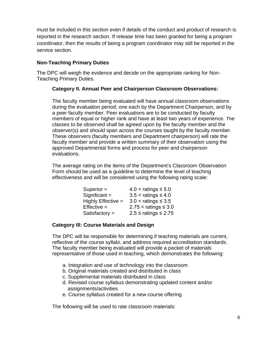must be included in this section even if details of the conduct and product of research is reported in the research section. If release time has been granted for being a program coordinator, then the results of being a program coordinator may still be reported in the service section.

# **Non-Teaching Primary Duties**

The DPC will weigh the evidence and decide on the appropriate ranking for Non-Teaching Primary Duties.

## **Category II. Annual Peer and Chairperson Classroom Observations:**

The faculty member being evaluated will have annual classroom observations during the evaluation period; one each by the Department Chairperson, and by a peer faculty member. Peer evaluations are to be conducted by faculty members of equal or higher rank and have at least two years of experience. The classes to be observed shall be agreed upon by the faculty member and the observer(s) and should span across the courses taught by the faculty member. These observers (faculty members and Department chairperson) will rate the faculty member and provide a written summary of their observation using the approved Departmental forms and process for peer and chairperson evaluations.

The average rating on the items of the Department's Classroom Observation Form should be used as a guideline to determine the level of teaching effectiveness and will be considered using the following rating scale:

| Superior $=$       | $4.0 <$ ratings $\leq 5.0$  |
|--------------------|-----------------------------|
| Significant $=$    | $3.5 <$ ratings $\leq 4.0$  |
| Highly Effective = | $3.0 <$ ratings $\leq 3.5$  |
| $Effective =$      | $2.75 <$ ratings $\leq 3.0$ |
| Satisfactory $=$   | $2.5$ ≤ ratings ≤ 2.75      |

## **Category Ill: Course Materials and Design**

The DPC will be responsible for determining if teaching materials are current, reflective of the course syllabi, and address required accreditation standards. The faculty member being evaluated will provide a packet of materials representative of those used in teaching, which demonstrates the following:

- a. Integration and use of technology into the classroom
- b. Original materials created and distributed in class
- c. Supplemental materials distributed in class
- d. Revised course syllabus demonstrating updated content and/or assignments/activities
- e. Course syllabus created for a new course offering

The following will be used to rate classroom materials: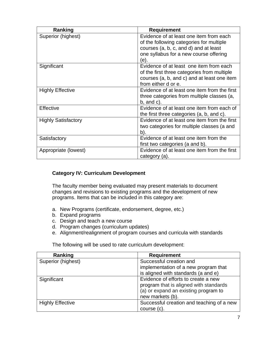| Ranking                    | <b>Requirement</b>                                                                                                                                           |
|----------------------------|--------------------------------------------------------------------------------------------------------------------------------------------------------------|
| Superior (highest)         | Evidence of at least one item from each<br>of the following categories for multiple<br>courses (a, b, c, and d) and at least                                 |
|                            | one syllabus for a new course offering<br>(e).                                                                                                               |
| Significant                | Evidence of at least one item from each<br>of the first three categories from multiple<br>courses (a, b, and c) and at least one item<br>from either d or e. |
| <b>Highly Effective</b>    | Evidence of at least one item from the first<br>three categories from multiple classes (a,<br>$b$ , and $c$ ).                                               |
| Effective                  | Evidence of at least one item from each of<br>the first three categories (a, b, and c).                                                                      |
| <b>Highly Satisfactory</b> | Evidence of at least one item from the first<br>two categories for multiple classes (a and<br>b).                                                            |
| Satisfactory               | Evidence of at least one item from the<br>first two categories (a and b).                                                                                    |
| Appropriate (lowest)       | Evidence of at least one item from the first<br>category (a).                                                                                                |

# **Category IV: Curriculum Development**

The faculty member being evaluated may present materials to document changes and revisions to existing programs and the development of new programs. Items that can be included in this category are:

- a. New Programs (certificate, endorsement, degree, etc.)
- b. Expand programs
- c. Design and teach a new course
- d. Program changes (curriculum updates)
- e. Alignment/realignment of program courses and curricula with standards

The following will be used to rate curriculum development:

| Ranking                 | <b>Requirement</b>                        |
|-------------------------|-------------------------------------------|
| Superior (highest)      | Successful creation and                   |
|                         | implementation of a new program that      |
|                         | is aligned with standards (a and e)       |
| Significant             | Evidence of efforts to create a new       |
|                         | program that is aligned with standards    |
|                         | (a) or expand an existing program to      |
|                         | new markets (b).                          |
| <b>Highly Effective</b> | Successful creation and teaching of a new |
|                         | course (c).                               |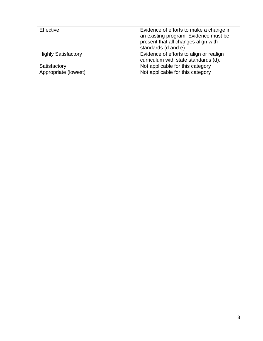| Effective                  | Evidence of efforts to make a change in<br>an existing program. Evidence must be<br>present that all changes align with<br>standards (d and e). |
|----------------------------|-------------------------------------------------------------------------------------------------------------------------------------------------|
| <b>Highly Satisfactory</b> | Evidence of efforts to align or realign<br>curriculum with state standards (d).                                                                 |
| Satisfactory               | Not applicable for this category                                                                                                                |
| Appropriate (lowest)       | Not applicable for this category                                                                                                                |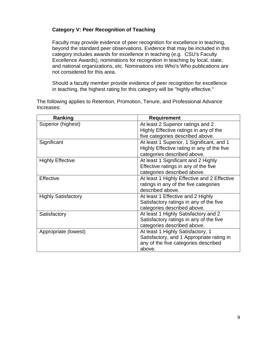# **Category V: Peer Recognition of Teaching**

Faculty may provide evidence of peer recognition for excellence in teaching, beyond the standard peer observations. Evidence that may be included in this category includes awards for excellence in teaching (e.g. CSU's Faculty Excellence Awards), nominations for recognition in teaching by local, state, and national organizations, etc. Nominations into Who's Who publications are not considered for this area.

Should a faculty member provide evidence of peer recognition for excellence in teaching, the highest rating for this category will be "highly effective."

The following applies to Retention, Promotion, Tenure, and Professional Advance Increases:

| Ranking                    | <b>Requirement</b>                          |
|----------------------------|---------------------------------------------|
| Superior (highest)         | At least 2 Superior ratings and 2           |
|                            | Highly Effective ratings in any of the      |
|                            | five categories described above.            |
| Significant                | At least 1 Superior, 1 Significant, and 1   |
|                            | Highly Effective rating in any of the five  |
|                            | categories described above.                 |
| <b>Highly Effective</b>    | At least 1 Significant and 2 Highly         |
|                            | Effective ratings in any of the five        |
|                            | categories described above.                 |
| Effective                  | At least 1 Highly Effective and 2 Effective |
|                            | ratings in any of the five categories       |
|                            | described above.                            |
| <b>Highly Satisfactory</b> | At least 1 Effective and 2 Highly           |
|                            | Satisfactory ratings in any of the five     |
|                            | categories described above.                 |
| Satisfactory               | At least 1 Highly Satisfactory and 2        |
|                            | Satisfactory ratings in any of the five     |
|                            | categories described above.                 |
| Appropriate (lowest)       | At least 1 Highly Satisfactory, 1           |
|                            | Satisfactory, and 1 Appropriate rating in   |
|                            | any of the five categories described        |
|                            | above.                                      |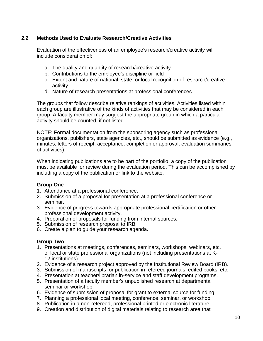# **2.2 Methods Used to Evaluate Research/Creative Activities**

Evaluation of the effectiveness of an employee's research/creative activity will include consideration of:

- a. The quality and quantity of research/creative activity
- b. Contributions to the employee's discipline or field
- c. Extent and nature of national, state, or local recognition of research/creative activity
- d. Nature of research presentations at professional conferences

The groups that follow describe relative rankings of activities. Activities listed within each group are illustrative of the kinds of activities that may be considered in each group. A faculty member may suggest the appropriate group in which a particular activity should be counted, if not listed.

NOTE: Formal documentation from the sponsoring agency such as professional organizations, publishers, state agencies, etc., should be submitted as evidence (e.g., minutes, letters of receipt, acceptance, completion or approval, evaluation summaries of activities).

When indicating publications are to be part of the portfolio, a copy of the publication must be available for review during the evaluation period. This can be accomplished by including a copy of the publication or link to the website.

## **Group One**

- 1. Attendance at a professional conference.
- 2. Submission of a proposal for presentation at a professional conference or seminar.
- 3. Evidence of progress towards appropriate professional certification or other professional development activity.
- 4. Preparation of proposals for funding from internal sources.
- 5. Submission of research proposal to IRB.
- 6. Create a plan to guide your research agenda**.**

## **Group Two**

- 1. Presentations at meetings, conferences, seminars, workshops, webinars, etc. of local or state professional organizations (not including presentations at K-12 institutions).
- 2. Evidence of a research project approved by the Institutional Review Board (IRB).
- 3. Submission of manuscripts for publication in refereed journals, edited books, etc.
- 4. Presentation at teacher/librarian in-service and staff development programs.
- 5. Presentation of a faculty member's unpublished research at departmental seminar or workshop.
- 6. Evidence of submission of proposal for grant to external source for funding.
- 7. Planning a professional local meeting, conference, seminar, or workshop.
- 8. Publication in a non-refereed, professional printed or electronic literature.
- 9. Creation and distribution of digital materials relating to research area that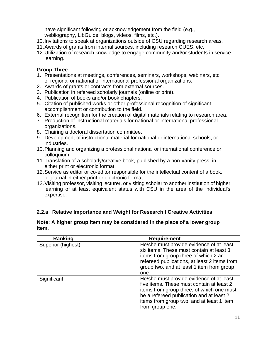have significant following or acknowledgement from the field (e.g., webliography, LibGuide, blogs, videos, films, etc.).

- 10.Invitations to speak at organizations outside of CSU regarding research areas.
- 11.Awards of grants from internal sources, including research CUES, etc.
- 12.Utilization of research knowledge to engage community and/or students in service learning.

#### **Group Three**

- 1. Presentations at meetings, conferences, seminars, workshops, webinars, etc. of regional or national or international professional organizations.
- 2. Awards of grants or contracts from external sources.
- 3. Publication in refereed scholarly journals (online or print).
- 4. Publication of books and/or book chapters.
- 5. Citation of published works or other professional recognition of significant accomplishment or contribution to the field.
- 6. External recognition for the creation of digital materials relating to research area.
- 7. Production of instructional materials for national or international professional organizations.
- 8. Chairing a doctoral dissertation committee.
- 9. Development of instructional material for national or international schools, or industries.
- 10.Planning and organizing a professional national or international conference or colloquium.
- 11.Translation of a scholarly/creative book, published by a non-vanity press, in either print or electronic format.
- 12.Service as editor or co-editor responsible for the intellectual content of a book, or journal in either print or electronic format.
- 13.Visiting professor, visiting lecturer, or visiting scholar to another institution of higher learning of at least equivalent status with CSU in the area of the individual's expertise.

## **2.2.a Relative Importance and Weight for Research I Creative Activities**

#### **Note: A higher group item may be considered in the place of a lower group item.**

| Ranking            | <b>Requirement</b>                           |
|--------------------|----------------------------------------------|
| Superior (highest) | He/she must provide evidence of at least     |
|                    | six items. These must contain at least 3     |
|                    | items from group three of which 2 are        |
|                    | refereed publications, at least 2 items from |
|                    | group two, and at least 1 item from group    |
|                    | one.                                         |
| Significant        | He/she must provide evidence of at least     |
|                    | five items. These must contain at least 2    |
|                    | items from group three, of which one must    |
|                    | be a refereed publication and at least 2     |
|                    | items from group two, and at least 1 item    |
|                    | from group one.                              |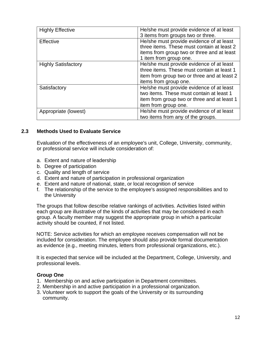| <b>Highly Effective</b>    | He/she must provide evidence of at least<br>3 items from groups two or three.                                                                                  |
|----------------------------|----------------------------------------------------------------------------------------------------------------------------------------------------------------|
| Effective                  | He/she must provide evidence of at least<br>three items. These must contain at least 2<br>items from group two or three and at least<br>1 item from group one. |
| <b>Highly Satisfactory</b> | He/she must provide evidence of at least<br>three items. These must contain at least 1<br>item from group two or three and at least 2<br>items from group one. |
| Satisfactory               | He/she must provide evidence of at least<br>two items. These must contain at least 1<br>item from group two or three and at least 1<br>item from group one.    |
| Appropriate (lowest)       | He/she must provide evidence of at least<br>two items from any of the groups.                                                                                  |

#### **2.3 Methods Used to Evaluate Service**

Evaluation of the effectiveness of an employee's unit, College, University, community, or professional service will include consideration of:

- a. Extent and nature of leadership
- b. Degree of participation
- c. Quality and length of service
- d. Extent and nature of participation in professional organization
- e. Extent and nature of national, state, or local recognition of service
- f. The relationship of the service to the employee's assigned responsibilities and to the University

The groups that follow describe relative rankings of activities. Activities listed within each group are illustrative of the kinds of activities that may be considered in each group. A faculty member may suggest the appropriate group in which a particular activity should be counted, if not listed.

NOTE: Service activities for which an employee receives compensation will not be included for consideration. The employee should also provide formal documentation as evidence (e.g., meeting minutes, letters from professional organizations, etc.).

It is expected that service will be included at the Department, College, University, and professional levels.

#### **Group One**

- 1. Membership on and active participation in Department committees.
- 2. Membership in and active participation in a professional organization.
- 3. Volunteer work to support the goals of the University or its surrounding community.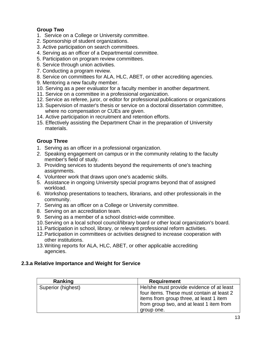# **Group Two**

- 1. Service on a College or University committee.
- 2. Sponsorship of student organizations.
- 3. Active participation on search committees.
- 4. Serving as an officer of a Departmental committee.
- 5. Participation on program review committees.
- 6. Service through union activities.
- 7. Conducting a program review.
- 8. Service on committees for ALA, HLC, ABET, or other accrediting agencies.
- 9. Mentoring a new faculty member.
- 10. Serving as a peer evaluator for a faculty member in another department.
- 11. Service on a committee in a professional organization.
- 12. Service as referee, juror, or editor for professional publications or organizations
- 13. Supervision of master's thesis or service on a doctoral dissertation committee, where no compensation or CUEs are given.
- 14. Active participation in recruitment and retention efforts.
- 15. Effectively assisting the Department Chair in the preparation of University materials.

# **Group Three**

- 1. Serving as an officer in a professional organization.
- 2. Speaking engagement on campus or in the community relating to the faculty member's field of study.
- 3. Providing services to students beyond the requirements of one's teaching assignments.
- 4. Volunteer work that draws upon one's academic skills.
- 5. Assistance in ongoing University special programs beyond that of assigned workload.
- 6. Workshop presentations to teachers, librarians, and other professionals in the community.
- 7. Serving as an officer on a College or University committee.
- 8. Serving on an accreditation team.
- 9. Serving as a member of a school district-wide committee.
- 10.Serving on a local school council/library board or other local organization's board.
- 11.Participation in school, library, or relevant professional reform activities.
- 12.Participation in committees or activities designed to increase cooperation with other institutions.
- 13.Writing reports for ALA, HLC, ABET, or other applicable accrediting agencies.

## **2.3.a Relative Importance and Weight for Service**

| Ranking            | <b>Requirement</b>                        |
|--------------------|-------------------------------------------|
| Superior (highest) | He/she must provide evidence of at least  |
|                    | four items. These must contain at least 2 |
|                    | items from group three, at least 1 item   |
|                    | from group two, and at least 1 item from  |
|                    | group one.                                |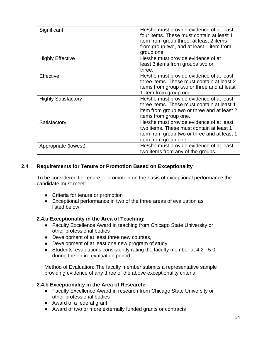| Significant                | He/she must provide evidence of at least    |
|----------------------------|---------------------------------------------|
|                            | four items. These must contain at least 1   |
|                            | item from group three, at least 2 items     |
|                            | from group two, and at least 1 item from    |
|                            | group one.                                  |
| <b>Highly Effective</b>    | He/she must provide evidence of at          |
|                            | least 3 items from groups two or            |
|                            |                                             |
|                            | three.                                      |
| Effective                  | He/she must provide evidence of at least    |
|                            | three items. These must contain at least 2  |
|                            | items from group two or three and at least  |
|                            | 1 item from group one.                      |
| <b>Highly Satisfactory</b> | He/she must provide evidence of at least    |
|                            | three items. These must contain at least 1  |
|                            | item from group two or three and at least 2 |
|                            | items from group one.                       |
| Satisfactory               | He/she must provide evidence of at least    |
|                            | two items. These must contain at least 1    |
|                            | item from group two or three and at least 1 |
|                            | item from group one.                        |
| Appropriate (lowest)       | He/she must provide evidence of at least    |
|                            | two items from any of the groups.           |
|                            |                                             |

## **2.4 Requirements for Tenure or Promotion Based on Exceptionality**

To be considered for tenure or promotion on the basis of exceptional performance the candidate must meet:

- Criteria for tenure or promotion
- Exceptional performance in two of the three areas of evaluation as listed below

## **2.4.a Exceptionality in the Area of Teaching:**

- Faculty Excellence Award in teaching from Chicago State University or other professional bodies
- Development of at least three new courses,
- Development of at least one new program of study
- Students' evaluations consistently rating the faculty member at 4.2 5.0 during the entire evaluation period

Method of Evaluation: The faculty member submits a representative sample providing evidence of any three of the above exceptionality criteria.

#### **2.4.b Exceptionality in the Area of Research:**

- Faculty Excellence Award in research from Chicago State University or other professional bodies
- Award of a federal grant
- Award of two or more externally funded grants or contracts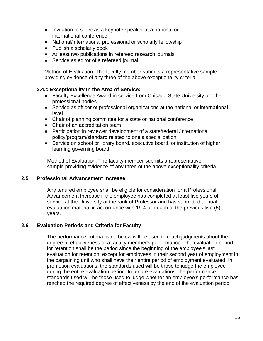- Invitation to serve as a keynote speaker at a national or international conference
- National/international professional or scholarly fellowship
- Publish a scholarly book
- At least two publications in refereed research journals
- Service as editor of a refereed journal

Method of Evaluation: The faculty member submits a representative sample providing evidence of any three of the above exceptionality criteria

## **2.4.c Exceptionality In the Area of Service:**

- Faculty Excellence Award in service from Chicago State University or other professional bodies
- Service as officer of professional organizations at the national or international level
- Chair of planning committee for a state or national conference
- Chair of an accreditation team
- Participation in reviewer development of a state/federal /international policy/program/standard related to one's specialization
- Service on school or library board, executive board, or institution of higher learning governing board

Method of Evaluation: The faculty member submits a representative sample providing evidence of any three of the above exceptionality criteria.

#### **2.5 Professional Advancement Increase**

Any tenured employee shall be eligible for consideration for a Professional Advancement Increase if the employee has completed at least five years of service at the University at the rank of Professor and has submitted annual evaluation material in accordance with 19.4.c in each of the previous five (5) years.

## **2.6 Evaluation Periods and Criteria for Faculty**

The performance criteria listed below will be used to reach judgments about the degree of effectiveness of a faculty member's performance. The evaluation period for retention shall be the period since the beginning of the employee's last evaluation for retention, except for employees in their second year of employment in the bargaining unit who shall have their entire period of employment evaluated. In promotion evaluations, the standards used will be those to judge the employee during the entire evaluation period. In tenure evaluations, the performance standards used will be those used to judge whether an employee's performance has reached the required degree of effectiveness by the end of the evaluation period.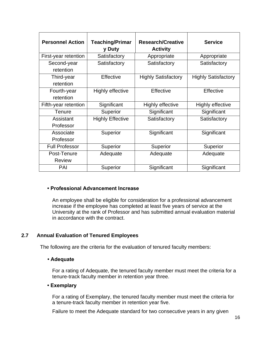| <b>Personnel Action</b>      | <b>Teaching/Primar</b><br>y Duty | <b>Research/Creative</b><br><b>Activity</b> | <b>Service</b>             |
|------------------------------|----------------------------------|---------------------------------------------|----------------------------|
| First-year retention         | Satisfactory                     | Appropriate                                 | Appropriate                |
| Second-year<br>retention     | Satisfactory                     | Satisfactory                                | Satisfactory               |
| Third-year<br>retention      | Effective                        | <b>Highly Satisfactory</b>                  | <b>Highly Satisfactory</b> |
| Fourth-year<br>retention     | Highly effective                 | Effective                                   | Effective                  |
| Fifth-year retention         | Significant                      | <b>Highly effective</b>                     | <b>Highly effective</b>    |
| <b>Tenure</b>                | Superior                         | Significant                                 | Significant                |
| Assistant<br>Professor       | <b>Highly Effective</b>          | Satisfactory                                | Satisfactory               |
| Associate<br>Professor       | Superior                         | Significant                                 | Significant                |
| <b>Full Professor</b>        | Superior                         | Superior                                    | Superior                   |
| Post-Tenure<br><b>Review</b> | Adequate                         | Adequate                                    | Adequate                   |
| PAI                          | Superior                         | Significant                                 | Significant                |

#### **• Professional Advancement Increase**

An employee shall be eligible for consideration for a professional advancement increase if the employee has completed at least five years of service at the University at the rank of Professor and has submitted annual evaluation material in accordance with the contract.

## **2.7 Annual Evaluation of Tenured Employees**

The following are the criteria for the evaluation of tenured faculty members:

#### **• Adequate**

For a rating of Adequate, the tenured faculty member must meet the criteria for a tenure-track faculty member in retention year three.

#### **• Exemplary**

For a rating of Exemplary, the tenured faculty member must meet the criteria for a tenure-track faculty member in retention year five.

Failure to meet the Adequate standard for two consecutive years in any given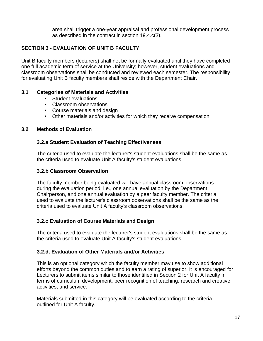area shall trigger a one-year appraisal and professional development process as described in the contract in section 19.4.c(3).

# **SECTION 3 - EVALUATION OF UNIT B FACULTY**

Unit B faculty members (lecturers) shall not be formally evaluated until they have completed one full academic term of service at the University; however, student evaluations and classroom observations shall be conducted and reviewed each semester. The responsibility for evaluating Unit B faculty members shall reside with the Department Chair.

## **3.1 Categories of Materials and Activities**

- Student evaluations
- Classroom observations
- Course materials and design
- Other materials and/or activities for which they receive compensation

# **3.2 Methods of Evaluation**

# **3.2.a Student Evaluation of Teaching Effectiveness**

The criteria used to evaluate the lecturer's student evaluations shall be the same as the criteria used to evaluate Unit A faculty's student evaluations.

## **3.2.b Classroom Observation**

The faculty member being evaluated will have annual classroom observations during the evaluation period, i.e., one annual evaluation by the Department Chairperson, and one annual evaluation by a peer faculty member. The criteria used to evaluate the lecturer's classroom observations shall be the same as the criteria used to evaluate Unit A faculty's classroom observations.

# **3.2.c Evaluation of Course Materials and Design**

The criteria used to evaluate the lecturer's student evaluations shall be the same as the criteria used to evaluate Unit A faculty's student evaluations.

# **3.2.d. Evaluation of Other Materials and/or Activities**

This is an optional category which the faculty member may use to show additional efforts beyond the common duties and to earn a rating of superior. It is encouraged for Lecturers to submit items similar to those identified in Section 2 for Unit A faculty in terms of curriculum development, peer recognition of teaching, research and creative activities, and service.

Materials submitted in this category will be evaluated according to the criteria outlined for Unit A faculty.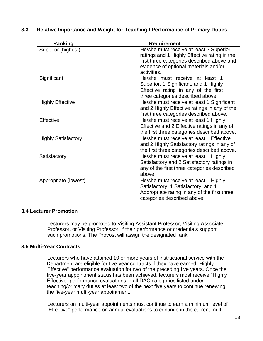| Ranking                    | <b>Requirement</b>                                                                                                                                                                            |  |  |
|----------------------------|-----------------------------------------------------------------------------------------------------------------------------------------------------------------------------------------------|--|--|
| Superior (highest)         | He/she must receive at least 2 Superior<br>ratings and 1 Highly Effective rating in the<br>first three categories described above and<br>evidence of optional materials and/or<br>activities. |  |  |
| Significant                | He/she must receive at least 1<br>Superior, 1 Significant, and 1 Highly<br>Effective rating in any of the first<br>three categories described above.                                          |  |  |
| <b>Highly Effective</b>    | He/she must receive at least 1 Significant<br>and 2 Highly Effective ratings in any of the<br>first three categories described above.                                                         |  |  |
| <b>Effective</b>           | He/she must receive at least 1 Highly<br>Effective and 2 Effective ratings in any of<br>the first three categories described above.                                                           |  |  |
| <b>Highly Satisfactory</b> | He/she must receive at least 1 Effective<br>and 2 Highly Satisfactory ratings in any of<br>the first three categories described above.                                                        |  |  |
| Satisfactory               | He/she must receive at least 1 Highly<br>Satisfactory and 2 Satisfactory ratings in<br>any of the first three categories described<br>above.                                                  |  |  |

### **3.3 Relative Importance and Weight for Teaching I Performance of Primary Duties**

# **3.4 Lecturer Promotion**

Lecturers may be promoted to Visiting Assistant Professor, Visiting Associate Professor, or Visiting Professor, if their performance or credentials support such promotions. The Provost will assign the designated rank.

Appropriate (lowest) Appropriate (lowest) He/she must receive at least 1 Highly

Satisfactory, 1 Satisfactory, and 1

categories described above.

Appropriate rating in any of the first three

#### **3.5 Multi-Year Contracts**

Lecturers who have attained 10 or more years of instructional service with the Department are eligible for five-year contracts if they have earned "Highly Effective" performance evaluation for two of the preceding five years. Once the five-year appointment status has been achieved, lecturers most receive "Highly Effective" performance evaluations in all DAC categories listed under teaching/primary duties at least two of the next five years to continue renewing the five-year multi-year appointment.

Lecturers on multi-year appointments must continue to earn a minimum level of "Effective" performance on annual evaluations to continue in the current multi